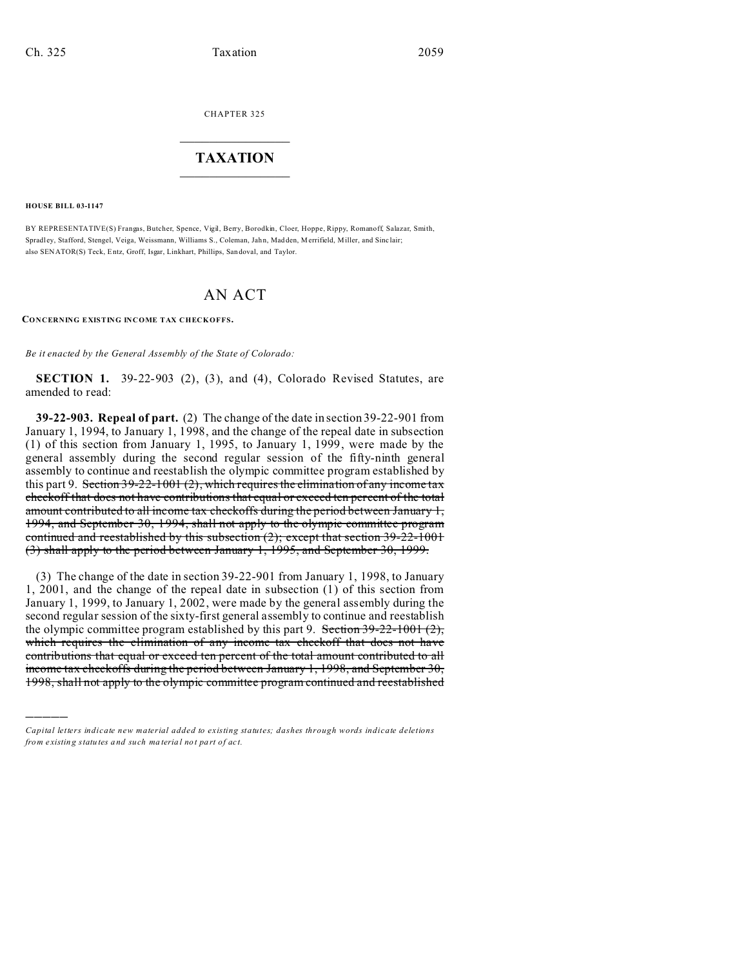CHAPTER 325  $\overline{\phantom{a}}$  , where  $\overline{\phantom{a}}$ 

### **TAXATION**  $\_$

**HOUSE BILL 03-1147**

)))))

BY REPRESENTATIVE(S) Frangas, Butcher, Spence, Vigil, Berry, Borodkin, Cloer, Hoppe, Rippy, Romanoff, Salazar, Smith, Spradley, Stafford, Stengel, Veiga, Weissmann, Williams S., Coleman, Jahn, Madden, Merrifield, Miller, and Sinclair; also SENATOR(S) Teck, Entz, Groff, Isgar, Linkhart, Phillips, San doval, and Taylor.

# AN ACT

**CONCERNING EXISTING INCOME TAX CHECKOFFS.**

*Be it enacted by the General Assembly of the State of Colorado:*

**SECTION 1.** 39-22-903 (2), (3), and (4), Colorado Revised Statutes, are amended to read:

**39-22-903. Repeal of part.** (2) The change of the date in section 39-22-901 from January 1, 1994, to January 1, 1998, and the change of the repeal date in subsection (1) of this section from January 1, 1995, to January 1, 1999, were made by the general assembly during the second regular session of the fifty-ninth general assembly to continue and reestablish the olympic committee program established by this part 9. Section  $39-22-1001(2)$ , which requires the elimination of any income tax checkoff that does not have contributions that equal or exceed ten percent of the total amount contributed to all income tax checkoffs during the period between January 1, 1994, and September 30, 1994, shall not apply to the olympic committee program continued and reestablished by this subsection (2); except that section 39-22-1001 (3) shall apply to the period between January 1, 1995, and September 30, 1999.

(3) The change of the date in section 39-22-901 from January 1, 1998, to January 1, 2001, and the change of the repeal date in subsection (1) of this section from January 1, 1999, to January 1, 2002, were made by the general assembly during the second regular session of the sixty-first general assembly to continue and reestablish the olympic committee program established by this part 9. Section  $39-22-1001$  (2), which requires the elimination of any income tax checkoff that does not have contributions that equal or exceed ten percent of the total amount contributed to all income tax checkoffs during the period between January 1, 1998, and September 30, 1998, shall not apply to the olympic committee program continued and reestablished

*Capital letters indicate new material added to existing statutes; dashes through words indicate deletions from e xistin g statu tes a nd such ma teria l no t pa rt of ac t.*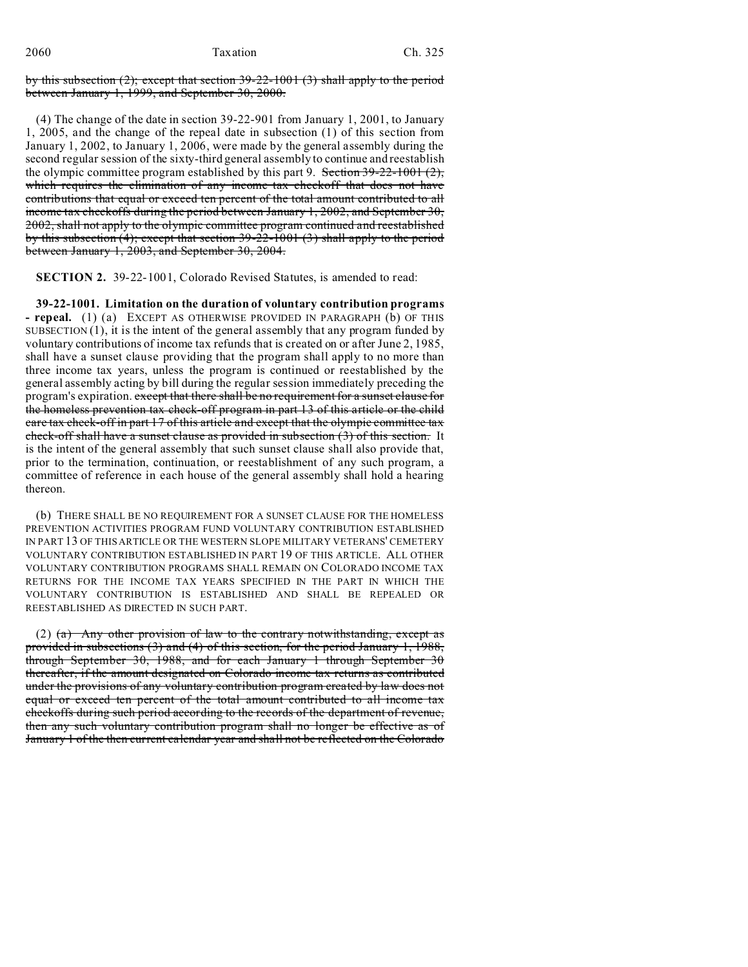by this subsection (2); except that section 39-22-1001 (3) shall apply to the period between January 1, 1999, and September 30, 2000.

(4) The change of the date in section 39-22-901 from January 1, 2001, to January 1, 2005, and the change of the repeal date in subsection (1) of this section from January 1, 2002, to January 1, 2006, were made by the general assembly during the second regular session of the sixty-third general assembly to continue and reestablish the olympic committee program established by this part 9. Section  $39-22-1001$  (2), which requires the elimination of any income tax checkoff that does not have contributions that equal or exceed ten percent of the total amount contributed to all income tax checkoffs during the period between January 1, 2002, and September 30, 2002, shall not apply to the olympic committee program continued and reestablished by this subsection (4); except that section 39-22-1001 (3) shall apply to the period between January 1, 2003, and September 30, 2004.

**SECTION 2.** 39-22-1001, Colorado Revised Statutes, is amended to read:

**39-22-1001. Limitation on the duration of voluntary contribution programs - repeal.** (1) (a) EXCEPT AS OTHERWISE PROVIDED IN PARAGRAPH (b) OF THIS SUBSECTION  $(1)$ , it is the intent of the general assembly that any program funded by voluntary contributions of income tax refunds that is created on or after June 2, 1985, shall have a sunset clause providing that the program shall apply to no more than three income tax years, unless the program is continued or reestablished by the general assembly acting by bill during the regular session immediately preceding the program's expiration. except that there shall be no requirement for a sunset clause for the homeless prevention tax check-off program in part 13 of this article or the child care tax check-off in part 17 of this article and except that the olympic committee tax check-off shall have a sunset clause as provided in subsection (3) of this section. It is the intent of the general assembly that such sunset clause shall also provide that, prior to the termination, continuation, or reestablishment of any such program, a committee of reference in each house of the general assembly shall hold a hearing thereon.

(b) THERE SHALL BE NO REQUIREMENT FOR A SUNSET CLAUSE FOR THE HOMELESS PREVENTION ACTIVITIES PROGRAM FUND VOLUNTARY CONTRIBUTION ESTABLISHED IN PART 13 OF THIS ARTICLE OR THE WESTERN SLOPE MILITARY VETERANS' CEMETERY VOLUNTARY CONTRIBUTION ESTABLISHED IN PART 19 OF THIS ARTICLE. ALL OTHER VOLUNTARY CONTRIBUTION PROGRAMS SHALL REMAIN ON COLORADO INCOME TAX RETURNS FOR THE INCOME TAX YEARS SPECIFIED IN THE PART IN WHICH THE VOLUNTARY CONTRIBUTION IS ESTABLISHED AND SHALL BE REPEALED OR REESTABLISHED AS DIRECTED IN SUCH PART.

(2) (a) Any other provision of law to the contrary notwithstanding, except as provided in subsections (3) and (4) of this section, for the period January 1, 1988, through September 30, 1988, and for each January 1 through September 30 thereafter, if the amount designated on Colorado income tax returns as contributed under the provisions of any voluntary contribution program created by law does not equal or exceed ten percent of the total amount contributed to all income tax checkoffs during such period according to the records of the department of revenue, then any such voluntary contribution program shall no longer be effective as of January 1 of the then current calendar year and shall not be reflected on the Colorado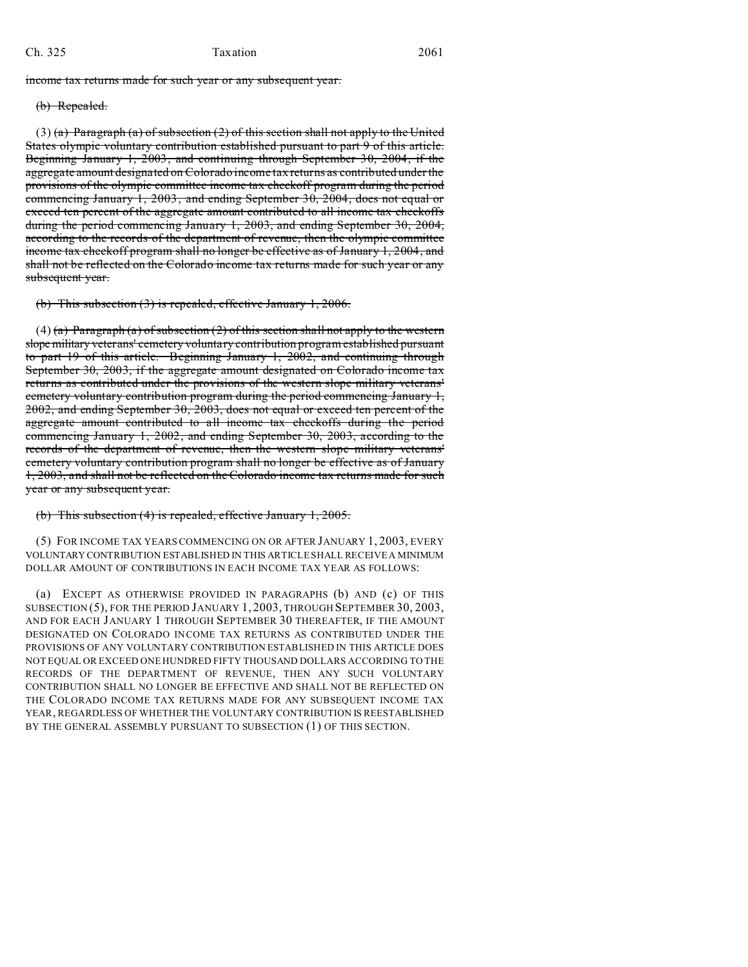## Ch. 325 Taxation 2061

income tax returns made for such year or any subsequent year.

#### (b) Repealed.

(3) (a) Paragraph (a) of subsection (2) of this section shall not apply to the United States olympic voluntary contribution established pursuant to part 9 of this article. Beginning January 1, 2003, and continuing through September 30, 2004, if the aggregate amount designated on Colorado income tax returns as contributed under the provisions of the olympic committee income tax checkoff program during the period commencing January 1, 2003, and ending September 30, 2004, does not equal or exceed ten percent of the aggregate amount contributed to all income tax checkoffs during the period commencing January 1, 2003, and ending September 30, 2004, according to the records of the department of revenue, then the olympic committee income tax checkoff program shall no longer be effective as of January 1, 2004, and shall not be reflected on the Colorado income tax returns made for such year or any subsequent year.

(b) This subsection (3) is repealed, effective January 1, 2006.

(4) (a) Paragraph (a) of subsection (2) of this section shall not apply to the western slopemilitary veterans' cemetery voluntary contribution program established pursuant to part 19 of this article. Beginning January 1, 2002, and continuing through September 30, 2003, if the aggregate amount designated on Colorado income tax returns as contributed under the provisions of the western slope military veterans' cemetery voluntary contribution program during the period commencing January 1, 2002, and ending September 30, 2003, does not equal or exceed ten percent of the aggregate amount contributed to all income tax checkoffs during the period commencing January 1, 2002, and ending September 30, 2003, according to the records of the department of revenue, then the western slope military veterans' cemetery voluntary contribution program shall no longer be effective as of January 1, 2003, and shall not be reflected on the Colorado income tax returns made for such year or any subsequent year.

#### (b) This subsection (4) is repealed, effective January 1, 2005.

(5) FOR INCOME TAX YEARS COMMENCING ON OR AFTER JANUARY 1, 2003, EVERY VOLUNTARY CONTRIBUTION ESTABLISHED IN THIS ARTICLE SHALL RECEIVE A MINIMUM DOLLAR AMOUNT OF CONTRIBUTIONS IN EACH INCOME TAX YEAR AS FOLLOWS:

(a) EXCEPT AS OTHERWISE PROVIDED IN PARAGRAPHS (b) AND (c) OF THIS SUBSECTION (5), FOR THE PERIOD JANUARY 1, 2003, THROUGH SEPTEMBER 30, 2003, AND FOR EACH JANUARY 1 THROUGH SEPTEMBER 30 THEREAFTER, IF THE AMOUNT DESIGNATED ON COLORADO INCOME TAX RETURNS AS CONTRIBUTED UNDER THE PROVISIONS OF ANY VOLUNTARY CONTRIBUTION ESTABLISHED IN THIS ARTICLE DOES NOT EQUAL OR EXCEED ONE HUNDRED FIFTY THOUSAND DOLLARS ACCORDING TO THE RECORDS OF THE DEPARTMENT OF REVENUE, THEN ANY SUCH VOLUNTARY CONTRIBUTION SHALL NO LONGER BE EFFECTIVE AND SHALL NOT BE REFLECTED ON THE COLORADO INCOME TAX RETURNS MADE FOR ANY SUBSEQUENT INCOME TAX YEAR, REGARDLESS OF WHETHER THE VOLUNTARY CONTRIBUTION IS REESTABLISHED BY THE GENERAL ASSEMBLY PURSUANT TO SUBSECTION (1) OF THIS SECTION.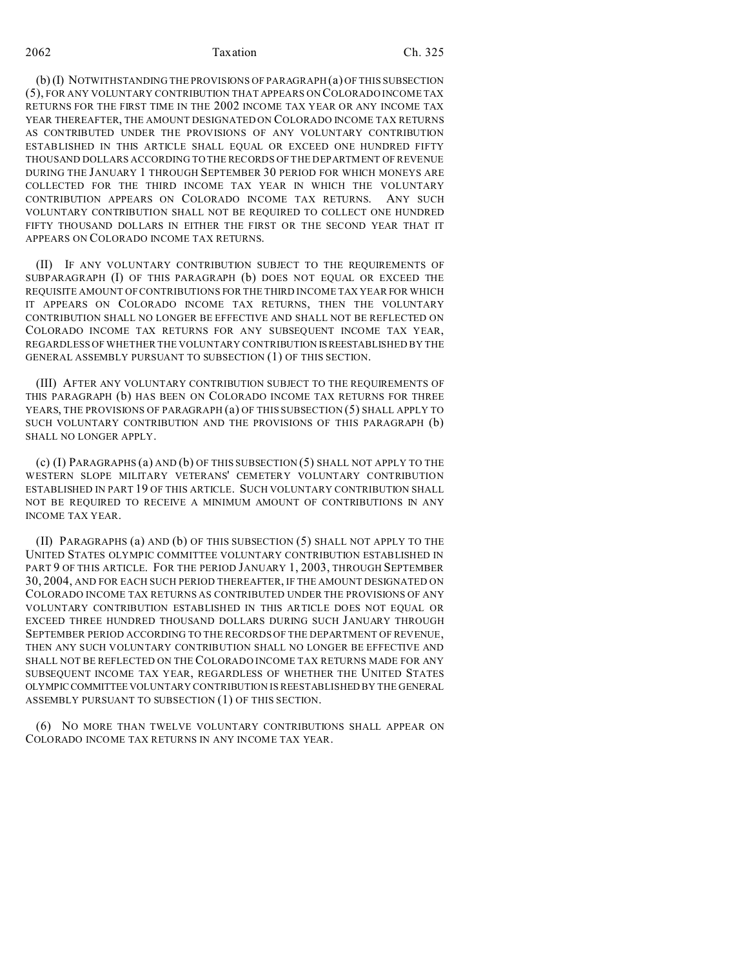2062 Taxation Ch. 325

(b) (I) NOTWITHSTANDING THE PROVISIONS OF PARAGRAPH (a) OF THIS SUBSECTION (5), FOR ANY VOLUNTARY CONTRIBUTION THAT APPEARS ON COLORADO INCOME TAX RETURNS FOR THE FIRST TIME IN THE 2002 INCOME TAX YEAR OR ANY INCOME TAX YEAR THEREAFTER, THE AMOUNT DESIGNATED ON COLORADO INCOME TAX RETURNS AS CONTRIBUTED UNDER THE PROVISIONS OF ANY VOLUNTARY CONTRIBUTION ESTABLISHED IN THIS ARTICLE SHALL EQUAL OR EXCEED ONE HUNDRED FIFTY THOUSAND DOLLARS ACCORDING TO THE RECORDS OF THE DEPARTMENT OF REVENUE DURING THE JANUARY 1 THROUGH SEPTEMBER 30 PERIOD FOR WHICH MONEYS ARE COLLECTED FOR THE THIRD INCOME TAX YEAR IN WHICH THE VOLUNTARY CONTRIBUTION APPEARS ON COLORADO INCOME TAX RETURNS. ANY SUCH VOLUNTARY CONTRIBUTION SHALL NOT BE REQUIRED TO COLLECT ONE HUNDRED FIFTY THOUSAND DOLLARS IN EITHER THE FIRST OR THE SECOND YEAR THAT IT APPEARS ON COLORADO INCOME TAX RETURNS.

(II) IF ANY VOLUNTARY CONTRIBUTION SUBJECT TO THE REQUIREMENTS OF SUBPARAGRAPH (I) OF THIS PARAGRAPH (b) DOES NOT EQUAL OR EXCEED THE REQUISITE AMOUNT OF CONTRIBUTIONS FOR THE THIRD INCOME TAX YEAR FOR WHICH IT APPEARS ON COLORADO INCOME TAX RETURNS, THEN THE VOLUNTARY CONTRIBUTION SHALL NO LONGER BE EFFECTIVE AND SHALL NOT BE REFLECTED ON COLORADO INCOME TAX RETURNS FOR ANY SUBSEQUENT INCOME TAX YEAR, REGARDLESS OF WHETHER THE VOLUNTARY CONTRIBUTION ISREESTABLISHED BY THE GENERAL ASSEMBLY PURSUANT TO SUBSECTION (1) OF THIS SECTION.

(III) AFTER ANY VOLUNTARY CONTRIBUTION SUBJECT TO THE REQUIREMENTS OF THIS PARAGRAPH (b) HAS BEEN ON COLORADO INCOME TAX RETURNS FOR THREE YEARS, THE PROVISIONS OF PARAGRAPH (a) OF THIS SUBSECTION (5) SHALL APPLY TO SUCH VOLUNTARY CONTRIBUTION AND THE PROVISIONS OF THIS PARAGRAPH (b) SHALL NO LONGER APPLY.

(c) (I) PARAGRAPHS (a) AND (b) OF THIS SUBSECTION (5) SHALL NOT APPLY TO THE WESTERN SLOPE MILITARY VETERANS' CEMETERY VOLUNTARY CONTRIBUTION ESTABLISHED IN PART 19 OF THIS ARTICLE. SUCH VOLUNTARY CONTRIBUTION SHALL NOT BE REQUIRED TO RECEIVE A MINIMUM AMOUNT OF CONTRIBUTIONS IN ANY INCOME TAX YEAR.

(II) PARAGRAPHS (a) AND (b) OF THIS SUBSECTION (5) SHALL NOT APPLY TO THE UNITED STATES OLYMPIC COMMITTEE VOLUNTARY CONTRIBUTION ESTABLISHED IN PART 9 OF THIS ARTICLE. FOR THE PERIOD JANUARY 1, 2003, THROUGH SEPTEMBER 30, 2004, AND FOR EACH SUCH PERIOD THEREAFTER, IF THE AMOUNT DESIGNATED ON COLORADO INCOME TAX RETURNS AS CONTRIBUTED UNDER THE PROVISIONS OF ANY VOLUNTARY CONTRIBUTION ESTABLISHED IN THIS ARTICLE DOES NOT EQUAL OR EXCEED THREE HUNDRED THOUSAND DOLLARS DURING SUCH JANUARY THROUGH SEPTEMBER PERIOD ACCORDING TO THE RECORDS OF THE DEPARTMENT OF REVENUE, THEN ANY SUCH VOLUNTARY CONTRIBUTION SHALL NO LONGER BE EFFECTIVE AND SHALL NOT BE REFLECTED ON THE COLORADO INCOME TAX RETURNS MADE FOR ANY SUBSEQUENT INCOME TAX YEAR, REGARDLESS OF WHETHER THE UNITED STATES OLYMPICCOMMITTEE VOLUNTARY CONTRIBUTION IS REESTABLISHED BY THE GENERAL ASSEMBLY PURSUANT TO SUBSECTION (1) OF THIS SECTION.

(6) NO MORE THAN TWELVE VOLUNTARY CONTRIBUTIONS SHALL APPEAR ON COLORADO INCOME TAX RETURNS IN ANY INCOME TAX YEAR.